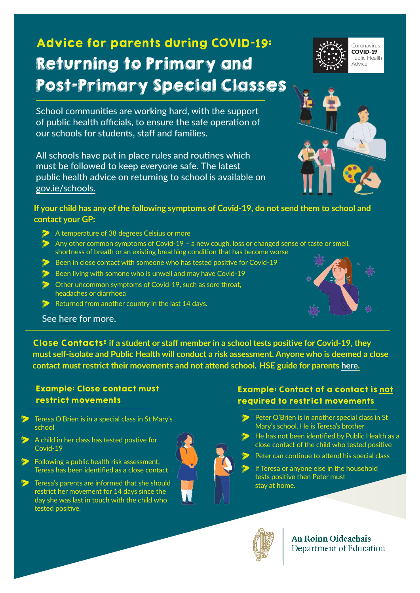# Advice for parents during COVID-**19**: Returning to Primary and Post-Primary Special Classes

School communities are working hard, with the support of public health officials, to ensure the safe operation of our schools for students, staff and families.

All schools have put in place rules and routines which must be followed to keep everyone safe. The latest public health advice on returning to school is available on [gov.ie/schools](http://gov.ie/schools).

#### **If your child has any of the following symptoms of Covid-19, do not send them to school and contact your GP:**

- A temperature of 38 degrees Celsius or more
- > Any other common symptoms of Covid-19 a new cough, loss or changed sense of taste or smell, shortness of breath or an existing breathing condition that has become worse
- Been in close contact with someone who has tested positive for Covid-19
- $\triangleright$  Been living with somone who is unwell and may have Covid-19
- **Other uncommon symptoms of Covid-19, such as sore throat,** headaches or diarrhoea
- Returned from another country in the last 14 days.

See [here](https://www2.hse.ie/conditions/coronavirus/school-and-covid-19/when-you-should-keep-your-child-home.html) for more.

Close Contacts: **if a student or staff member in a school tests positive for Covid-19, they must self-isolate and Public Health will conduct a risk assessment. Anyone who is deemed a close contact must restrict their movements and not attend school. HSE guide for parents [here](https://www.gov.ie/en/campaigns/a128d-back-to-school/?referrer=http://www.gov.ie/schools/).**

### Example: Close contact must restrict movements

- > Teresa O'Brien is in a special class in St Mary's school
- A child in her class has tested postive for Covid-19
- **D** Following a public health risk assessment, Teresa has been identified as a close contact
- **Example 2** Teresa's parents are informed that she should restrict her movement for 14 days since the day she was last in touch with the child who tested positive.

## Example: Contact of a contact is not required to restrict movements

- Peter O'Brien is in another special class in St Mary's school. He is Teresa's brother
- He has not been identified by Public Health as a close contact of the child who tested positive
- **Peter can continue to attend his special class** 
	- If Teresa or anyone else in the household tests positive then Peter must stay at home.